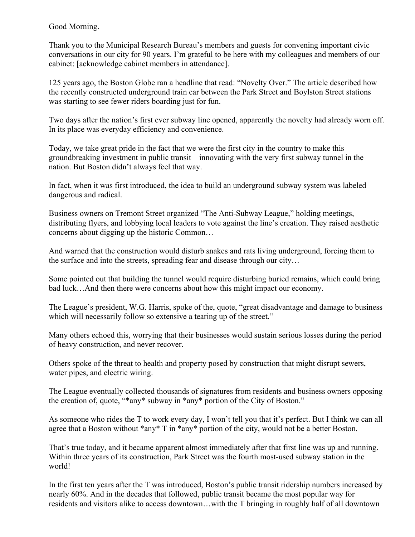Good Morning.

Thank you to the Municipal Research Bureau's members and guests for convening important civic conversations in our city for 90 years. I'm grateful to be here with my colleagues and members of our cabinet: [acknowledge cabinet members in attendance].

125 years ago, the Boston Globe ran a headline that read: "Novelty Over." The article described how the recently constructed underground train car between the Park Street and Boylston Street stations was starting to see fewer riders boarding just for fun.

Two days after the nation's first ever subway line opened, apparently the novelty had already worn off. In its place was everyday efficiency and convenience.

Today, we take great pride in the fact that we were the first city in the country to make this groundbreaking investment in public transit—innovating with the very first subway tunnel in the nation. But Boston didn't always feel that way.

In fact, when it was first introduced, the idea to build an underground subway system was labeled dangerous and radical.

Business owners on Tremont Street organized "The Anti-Subway League," holding meetings, distributing flyers, and lobbying local leaders to vote against the line's creation. They raised aesthetic concerns about digging up the historic Common…

And warned that the construction would disturb snakes and rats living underground, forcing them to the surface and into the streets, spreading fear and disease through our city…

Some pointed out that building the tunnel would require disturbing buried remains, which could bring bad luck…And then there were concerns about how this might impact our economy.

The League's president, W.G. Harris, spoke of the, quote, "great disadvantage and damage to business which will necessarily follow so extensive a tearing up of the street."

Many others echoed this, worrying that their businesses would sustain serious losses during the period of heavy construction, and never recover.

Others spoke of the threat to health and property posed by construction that might disrupt sewers, water pipes, and electric wiring.

The League eventually collected thousands of signatures from residents and business owners opposing the creation of, quote, "\*any\* subway in \*any\* portion of the City of Boston."

As someone who rides the T to work every day, I won't tell you that it's perfect. But I think we can all agree that a Boston without \*any\* T in \*any\* portion of the city, would not be a better Boston.

That's true today, and it became apparent almost immediately after that first line was up and running. Within three years of its construction, Park Street was the fourth most-used subway station in the world!

In the first ten years after the T was introduced, Boston's public transit ridership numbers increased by nearly 60%. And in the decades that followed, public transit became the most popular way for residents and visitors alike to access downtown…with the T bringing in roughly half of all downtown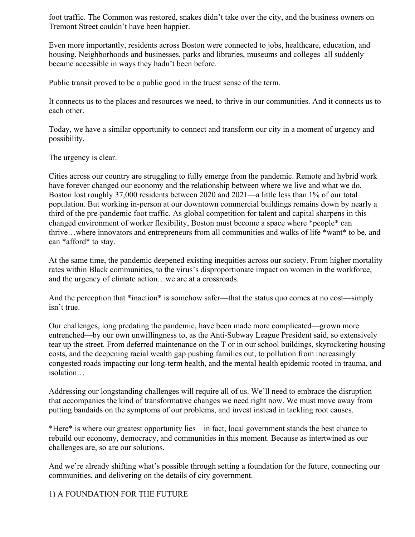foot traffic. The Common was restored, snakes didn't take over the city, and the business owners on Tremont Street couldn't have been happier.

Even more importantly, residents across Boston were connected to jobs, healthcare, education, and housing. Neighborhoods and businesses, parks and libraries, museums and colleges all suddenly became accessible in ways they hadn't been before.

Public transit proved to be a public good in the truest sense of the term.

It connects us to the places and resources we need, to thrive in our communities. And it connects us to each other.

Today, we have a similar opportunity to connect and transform our city in a moment of urgency and possibility.

The urgency is clear.

Cities across our country are struggling to fully emerge from the pandemic. Remote and hybrid work have forever changed our economy and the relationship between where we live and what we do. Boston lost roughly 37,000 residents between 2020 and 2021—a little less than 1% of our total population. But working in-person at our downtown commercial buildings remains down by nearly a third of the pre-pandemic foot traffic. As global competition for talent and capital sharpens in this changed environment of worker flexibility, Boston must become a space where \*people\* can thrive…where innovators and entrepreneurs from all communities and walks of life \*want\* to be, and can \*afford\* to stay.

At the same time, the pandemic deepened existing inequities across our society. From higher mortality rates within Black communities, to the virus's disproportionate impact on women in the workforce, and the urgency of climate action…we are at a crossroads.

And the perception that \*inaction\* is somehow safer—that the status quo comes at no cost—simply isn't true.

Our challenges, long predating the pandemic, have been made more complicated—grown more entrenched—by our own unwillingness to, as the Anti-Subway League President said, so extensively tear up the street. From deferred maintenance on the T or in our school buildings, skyrocketing housing costs, and the deepening racial wealth gap pushing families out, to pollution from increasingly congested roads impacting our long-term health, and the mental health epidemic rooted in trauma, and isolation…

Addressing our longstanding challenges will require all of us. We'll need to embrace the disruption that accompanies the kind of transformative changes we need right now. We must move away from putting bandaids on the symptoms of our problems, and invest instead in tackling root causes.

\*Here\* is where our greatest opportunity lies—in fact, local government stands the best chance to rebuild our economy, democracy, and communities in this moment. Because as intertwined as our challenges are, so are our solutions.

And we're already shifting what's possible through setting a foundation for the future, connecting our communities, and delivering on the details of city government.

1) A FOUNDATION FOR THE FUTURE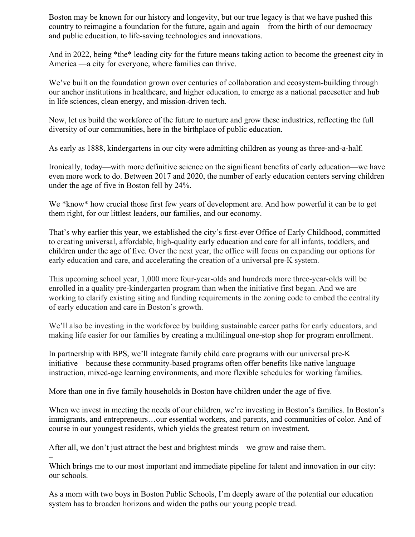Boston may be known for our history and longevity, but our true legacy is that we have pushed this country to reimagine a foundation for the future, again and again—from the birth of our democracy and public education, to life-saving technologies and innovations.

And in 2022, being \*the\* leading city for the future means taking action to become the greenest city in America —a city for everyone, where families can thrive.

We've built on the foundation grown over centuries of collaboration and ecosystem-building through our anchor institutions in healthcare, and higher education, to emerge as a national pacesetter and hub in life sciences, clean energy, and mission-driven tech.

Now, let us build the workforce of the future to nurture and grow these industries, reflecting the full diversity of our communities, here in the birthplace of public education.

– As early as 1888, kindergartens in our city were admitting children as young as three-and-a-half.

Ironically, today—with more definitive science on the significant benefits of early education—we have even more work to do. Between 2017 and 2020, the number of early education centers serving children under the age of five in Boston fell by 24%.

We \*know\* how crucial those first few years of development are. And how powerful it can be to get them right, for our littlest leaders, our families, and our economy.

That's why earlier this year, we established the city's first-ever Office of Early Childhood, committed to creating universal, affordable, high-quality early education and care for all infants, toddlers, and children under the age of five. Over the next year, the office will focus on expanding our options for early education and care, and accelerating the creation of a universal pre-K system.

This upcoming school year, 1,000 more four-year-olds and hundreds more three-year-olds will be enrolled in a quality pre-kindergarten program than when the initiative first began. And we are working to clarify existing siting and funding requirements in the zoning code to embed the centrality of early education and care in Boston's growth.

We'll also be investing in the workforce by building sustainable career paths for early educators, and making life easier for our families by creating a multilingual one-stop shop for program enrollment.

In partnership with BPS, we'll integrate family child care programs with our universal pre-K initiative—because these community-based programs often offer benefits like native language instruction, mixed-age learning environments, and more flexible schedules for working families.

More than one in five family households in Boston have children under the age of five.

When we invest in meeting the needs of our children, we're investing in Boston's families. In Boston's immigrants, and entrepreneurs…our essential workers, and parents, and communities of color. And of course in our youngest residents, which yields the greatest return on investment.

After all, we don't just attract the best and brightest minds—we grow and raise them.

–

Which brings me to our most important and immediate pipeline for talent and innovation in our city: our schools.

As a mom with two boys in Boston Public Schools, I'm deeply aware of the potential our education system has to broaden horizons and widen the paths our young people tread.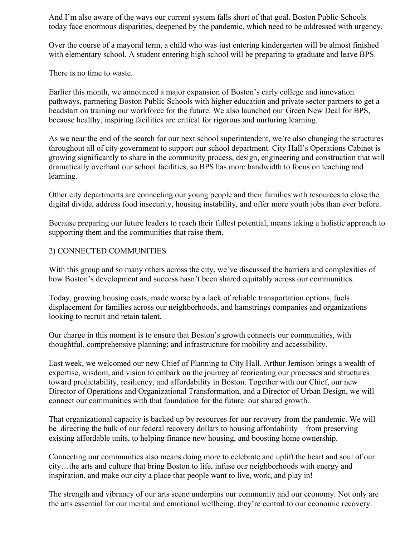And I'm also aware of the ways our current system falls short of that goal. Boston Public Schools today face enormous disparities, deepened by the pandemic, which need to be addressed with urgency.

Over the course of a mayoral term, a child who was just entering kindergarten will be almost finished with elementary school. A student entering high school will be preparing to graduate and leave BPS.

There is no time to waste.

Earlier this month, we announced a major expansion of Boston's early college and innovation pathways, partnering Boston Public Schools with higher education and private sector partners to get a headstart on training our workforce for the future. We also launched our Green New Deal for BPS, because healthy, inspiring facilities are critical for rigorous and nurturing learning.

As we near the end of the search for our next school superintendent, we're also changing the structures throughout all of city government to support our school department. City Hall's Operations Cabinet is growing significantly to share in the community process, design, engineering and construction that will dramatically overhaul our school facilities, so BPS has more bandwidth to focus on teaching and learning.

Other city departments are connecting our young people and their families with resources to close the digital divide, address food insecurity, housing instability, and offer more youth jobs than ever before.

Because preparing our future leaders to reach their fullest potential, means taking a holistic approach to supporting them and the communities that raise them.

## 2) CONNECTED COMMUNITIES

With this group and so many others across the city, we've discussed the barriers and complexities of how Boston's development and success hasn't been shared equitably across our communities.

Today, growing housing costs, made worse by a lack of reliable transportation options, fuels displacement for families across our neighborhoods, and hamstrings companies and organizations looking to recruit and retain talent.

Our charge in this moment is to ensure that Boston's growth connects our communities, with thoughtful, comprehensive planning; and infrastructure for mobility and accessibility.

Last week, we welcomed our new Chief of Planning to City Hall. Arthur Jemison brings a wealth of expertise, wisdom, and vision to embark on the journey of reorienting our processes and structures toward predictability, resiliency, and affordability in Boston. Together with our Chief, our new Director of Operations and Organizational Transformation, and a Director of Urban Design, we will connect our communities with that foundation for the future: our shared growth.

That organizational capacity is backed up by resources for our recovery from the pandemic. We will be directing the bulk of our federal recovery dollars to housing affordability—from preserving existing affordable units, to helping finance new housing, and boosting home ownership. –

Connecting our communities also means doing more to celebrate and uplift the heart and soul of our city…the arts and culture that bring Boston to life, infuse our neighborhoods with energy and inspiration, and make our city a place that people want to live, work, and play in!

The strength and vibrancy of our arts scene underpins our community and our economy. Not only are the arts essential for our mental and emotional wellbeing, they're central to our economic recovery.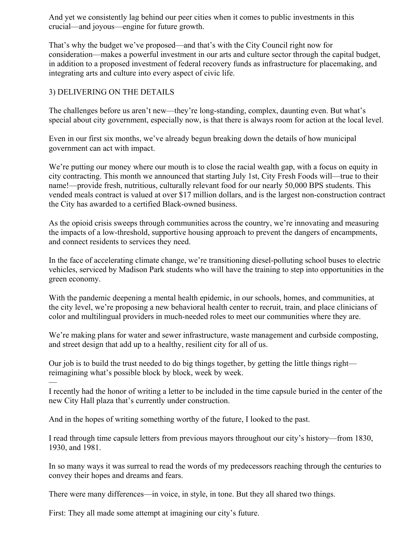And yet we consistently lag behind our peer cities when it comes to public investments in this crucial—and joyous—engine for future growth.

That's why the budget we've proposed—and that's with the City Council right now for consideration—makes a powerful investment in our arts and culture sector through the capital budget, in addition to a proposed investment of federal recovery funds as infrastructure for placemaking, and integrating arts and culture into every aspect of civic life.

## 3) DELIVERING ON THE DETAILS

The challenges before us aren't new—they're long-standing, complex, daunting even. But what's special about city government, especially now, is that there is always room for action at the local level.

Even in our first six months, we've already begun breaking down the details of how municipal government can act with impact.

We're putting our money where our mouth is to close the racial wealth gap, with a focus on equity in city contracting. This month we announced that starting July 1st, City Fresh Foods will—true to their name!—provide fresh, nutritious, culturally relevant food for our nearly 50,000 BPS students. This vended meals contract is valued at over \$17 million dollars, and is the largest non-construction contract the City has awarded to a certified Black-owned business.

As the opioid crisis sweeps through communities across the country, we're innovating and measuring the impacts of a low-threshold, supportive housing approach to prevent the dangers of encampments, and connect residents to services they need.

In the face of accelerating climate change, we're transitioning diesel-polluting school buses to electric vehicles, serviced by Madison Park students who will have the training to step into opportunities in the green economy.

With the pandemic deepening a mental health epidemic, in our schools, homes, and communities, at the city level, we're proposing a new behavioral health center to recruit, train, and place clinicians of color and multilingual providers in much-needed roles to meet our communities where they are.

We're making plans for water and sewer infrastructure, waste management and curbside composting, and street design that add up to a healthy, resilient city for all of us.

Our job is to build the trust needed to do big things together, by getting the little things right reimagining what's possible block by block, week by week.

— I recently had the honor of writing a letter to be included in the time capsule buried in the center of the new City Hall plaza that's currently under construction.

And in the hopes of writing something worthy of the future, I looked to the past.

I read through time capsule letters from previous mayors throughout our city's history—from 1830, 1930, and 1981.

In so many ways it was surreal to read the words of my predecessors reaching through the centuries to convey their hopes and dreams and fears.

There were many differences—in voice, in style, in tone. But they all shared two things.

First: They all made some attempt at imagining our city's future.